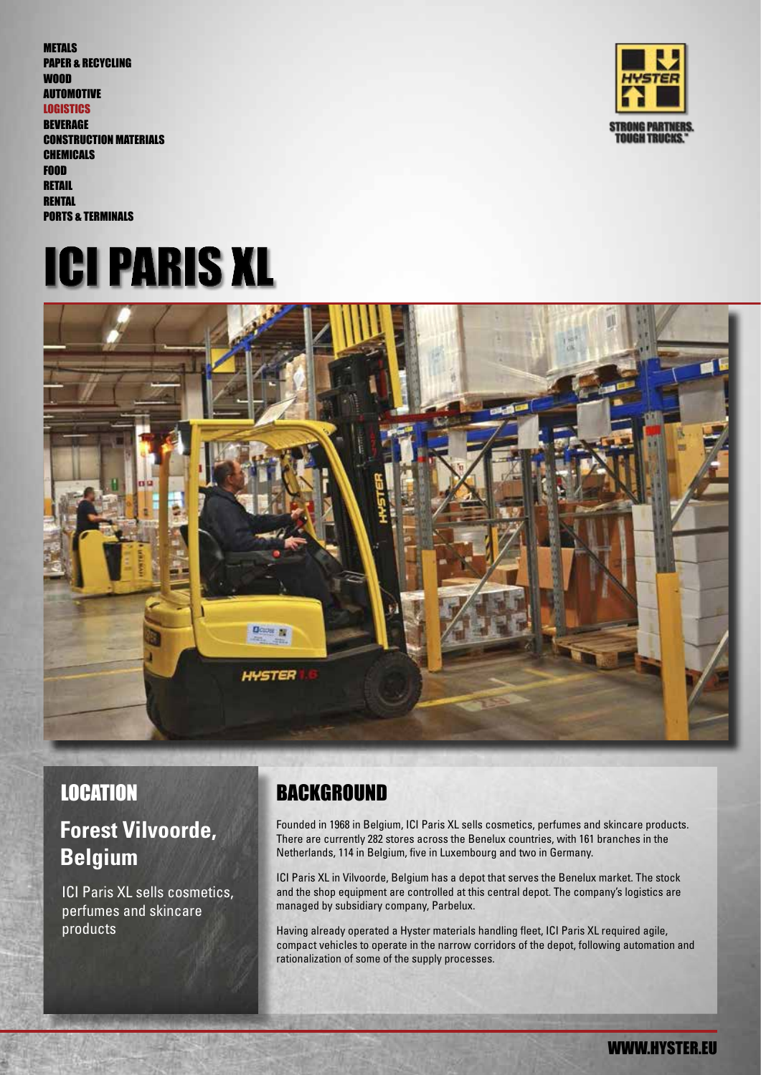PAPER & RECYCLING WOOD AUTOMOTIVE **LOGISTICS BEVERAGE** CONSTRUCTION MATERIALS **CHEMICALS** FOOD **RETAIL RENTAL** PORTS & TERMINALS

METALS







# **Forest Vilvoorde, Belgium**

ICI Paris XL sells cosmetics, perfumes and skincare products

# LOCATION BACKGROUND

Founded in 1968 in Belgium, ICI Paris XL sells cosmetics, perfumes and skincare products. There are currently 282 stores across the Benelux countries, with 161 branches in the Netherlands, 114 in Belgium, five in Luxembourg and two in Germany.

ICI Paris XL in Vilvoorde, Belgium has a depot that serves the Benelux market. The stock and the shop equipment are controlled at this central depot. The company's logistics are managed by subsidiary company, Parbelux.

Having already operated a Hyster materials handling fleet, ICI Paris XL required agile, compact vehicles to operate in the narrow corridors of the depot, following automation and rationalization of some of the supply processes.

WWW.HYSTER.EU